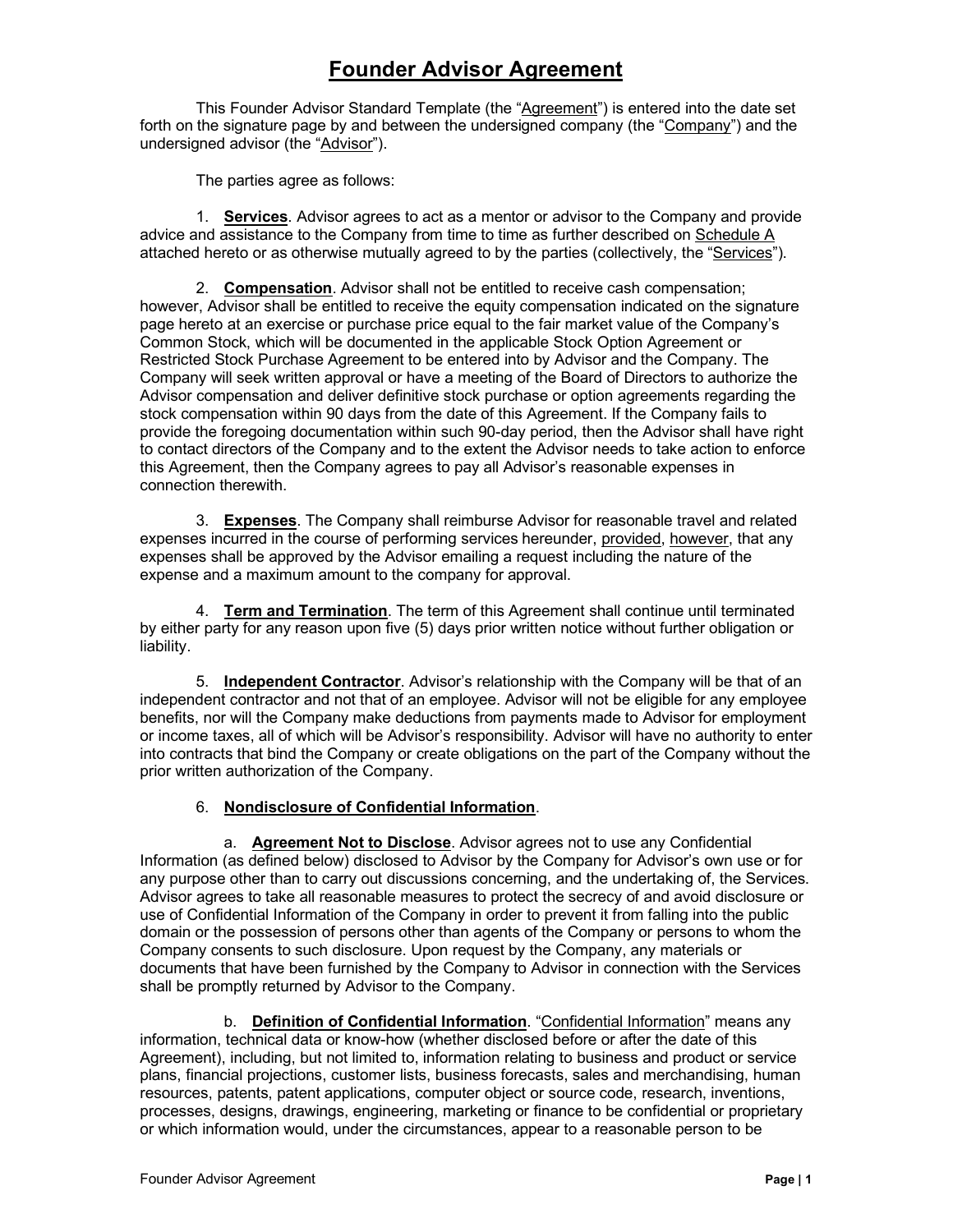# **Founder Advisor Agreement**

This Founder Advisor Standard Template (the "Agreement") is entered into the date set forth on the signature page by and between the undersigned company (the "Company") and the undersigned advisor (the "Advisor").

The parties agree as follows:

1. **Services**. Advisor agrees to act as a mentor or advisor to the Company and provide advice and assistance to the Company from time to time as further described on Schedule A attached hereto or as otherwise mutually agreed to by the parties (collectively, the "Services").

2. **Compensation**. Advisor shall not be entitled to receive cash compensation; however, Advisor shall be entitled to receive the equity compensation indicated on the signature page hereto at an exercise or purchase price equal to the fair market value of the Company's Common Stock, which will be documented in the applicable Stock Option Agreement or Restricted Stock Purchase Agreement to be entered into by Advisor and the Company. The Company will seek written approval or have a meeting of the Board of Directors to authorize the Advisor compensation and deliver definitive stock purchase or option agreements regarding the stock compensation within 90 days from the date of this Agreement. If the Company fails to provide the foregoing documentation within such 90-day period, then the Advisor shall have right to contact directors of the Company and to the extent the Advisor needs to take action to enforce this Agreement, then the Company agrees to pay all Advisor's reasonable expenses in connection therewith.

3. **Expenses**. The Company shall reimburse Advisor for reasonable travel and related expenses incurred in the course of performing services hereunder, provided, however, that any expenses shall be approved by the Advisor emailing a request including the nature of the expense and a maximum amount to the company for approval.

4. **Term and Termination**. The term of this Agreement shall continue until terminated by either party for any reason upon five (5) days prior written notice without further obligation or liability.

5. **Independent Contractor**. Advisor's relationship with the Company will be that of an independent contractor and not that of an employee. Advisor will not be eligible for any employee benefits, nor will the Company make deductions from payments made to Advisor for employment or income taxes, all of which will be Advisor's responsibility. Advisor will have no authority to enter into contracts that bind the Company or create obligations on the part of the Company without the prior written authorization of the Company.

# 6. **Nondisclosure of Confidential Information**.

a. **Agreement Not to Disclose**. Advisor agrees not to use any Confidential Information (as defined below) disclosed to Advisor by the Company for Advisor's own use or for any purpose other than to carry out discussions concerning, and the undertaking of, the Services. Advisor agrees to take all reasonable measures to protect the secrecy of and avoid disclosure or use of Confidential Information of the Company in order to prevent it from falling into the public domain or the possession of persons other than agents of the Company or persons to whom the Company consents to such disclosure. Upon request by the Company, any materials or documents that have been furnished by the Company to Advisor in connection with the Services shall be promptly returned by Advisor to the Company.

b. **Definition of Confidential Information**. "Confidential Information" means any information, technical data or know-how (whether disclosed before or after the date of this Agreement), including, but not limited to, information relating to business and product or service plans, financial projections, customer lists, business forecasts, sales and merchandising, human resources, patents, patent applications, computer object or source code, research, inventions, processes, designs, drawings, engineering, marketing or finance to be confidential or proprietary or which information would, under the circumstances, appear to a reasonable person to be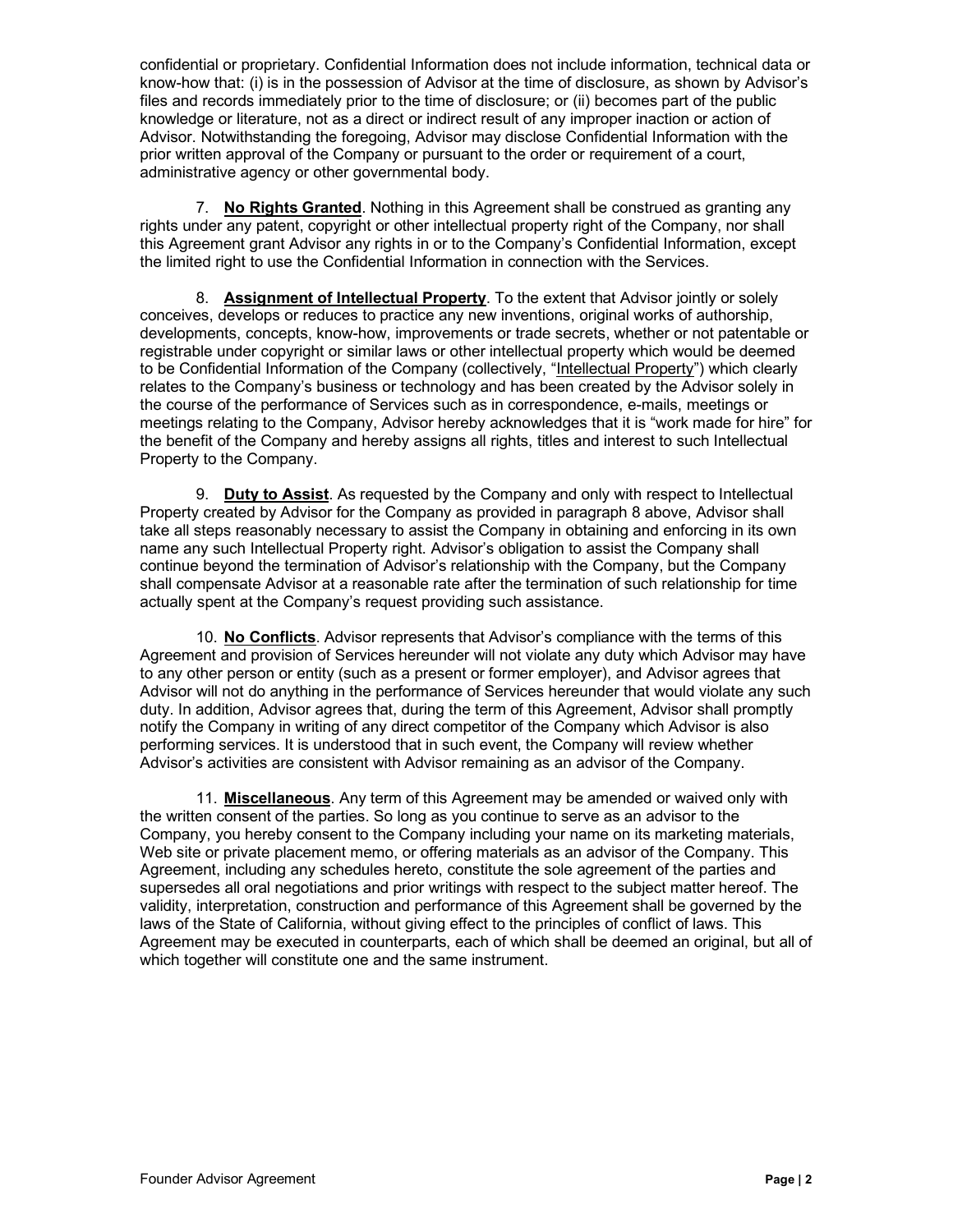confidential or proprietary. Confidential Information does not include information, technical data or know-how that: (i) is in the possession of Advisor at the time of disclosure, as shown by Advisor's files and records immediately prior to the time of disclosure; or (ii) becomes part of the public knowledge or literature, not as a direct or indirect result of any improper inaction or action of Advisor. Notwithstanding the foregoing, Advisor may disclose Confidential Information with the prior written approval of the Company or pursuant to the order or requirement of a court, administrative agency or other governmental body.

7. **No Rights Granted**. Nothing in this Agreement shall be construed as granting any rights under any patent, copyright or other intellectual property right of the Company, nor shall this Agreement grant Advisor any rights in or to the Company's Confidential Information, except the limited right to use the Confidential Information in connection with the Services.

8. **Assignment of Intellectual Property**. To the extent that Advisor jointly or solely conceives, develops or reduces to practice any new inventions, original works of authorship, developments, concepts, know-how, improvements or trade secrets, whether or not patentable or registrable under copyright or similar laws or other intellectual property which would be deemed to be Confidential Information of the Company (collectively, "Intellectual Property") which clearly relates to the Company's business or technology and has been created by the Advisor solely in the course of the performance of Services such as in correspondence, e-mails, meetings or meetings relating to the Company, Advisor hereby acknowledges that it is "work made for hire" for the benefit of the Company and hereby assigns all rights, titles and interest to such Intellectual Property to the Company.

9. **Duty to Assist**. As requested by the Company and only with respect to Intellectual Property created by Advisor for the Company as provided in paragraph 8 above, Advisor shall take all steps reasonably necessary to assist the Company in obtaining and enforcing in its own name any such Intellectual Property right. Advisor's obligation to assist the Company shall continue beyond the termination of Advisor's relationship with the Company, but the Company shall compensate Advisor at a reasonable rate after the termination of such relationship for time actually spent at the Company's request providing such assistance.

10. **No Conflicts**. Advisor represents that Advisor's compliance with the terms of this Agreement and provision of Services hereunder will not violate any duty which Advisor may have to any other person or entity (such as a present or former employer), and Advisor agrees that Advisor will not do anything in the performance of Services hereunder that would violate any such duty. In addition, Advisor agrees that, during the term of this Agreement, Advisor shall promptly notify the Company in writing of any direct competitor of the Company which Advisor is also performing services. It is understood that in such event, the Company will review whether Advisor's activities are consistent with Advisor remaining as an advisor of the Company.

11. **Miscellaneous**. Any term of this Agreement may be amended or waived only with the written consent of the parties. So long as you continue to serve as an advisor to the Company, you hereby consent to the Company including your name on its marketing materials, Web site or private placement memo, or offering materials as an advisor of the Company. This Agreement, including any schedules hereto, constitute the sole agreement of the parties and supersedes all oral negotiations and prior writings with respect to the subject matter hereof. The validity, interpretation, construction and performance of this Agreement shall be governed by the laws of the State of California, without giving effect to the principles of conflict of laws. This Agreement may be executed in counterparts, each of which shall be deemed an original, but all of which together will constitute one and the same instrument.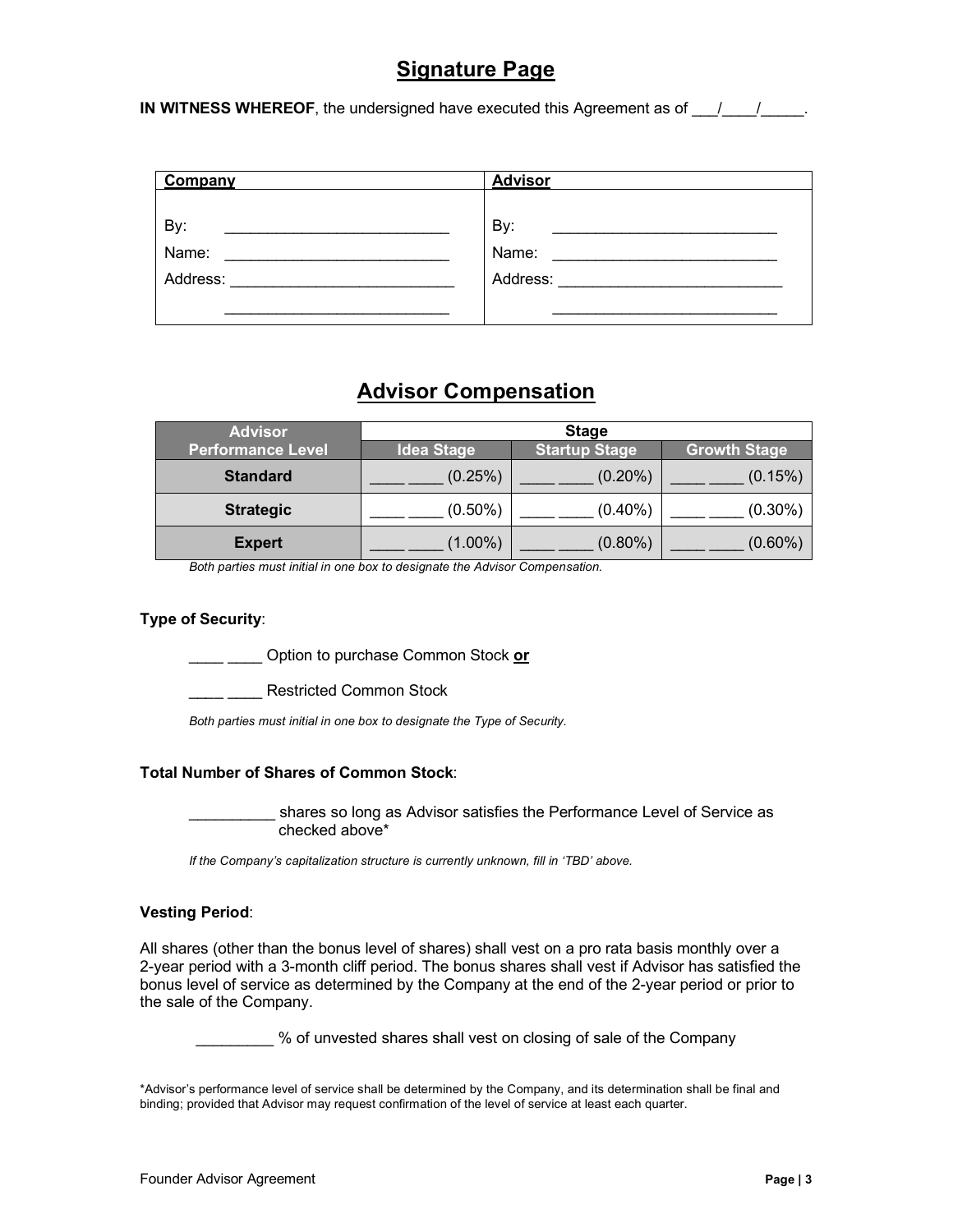# **Signature Page**

**IN WITNESS WHEREOF**, the undersigned have executed this Agreement as of  $\frac{1}{\sqrt{2}}$ 

| Company  | <b>Advisor</b>                                           |
|----------|----------------------------------------------------------|
|          |                                                          |
| By:      | By:                                                      |
| Name:    | Name:                                                    |
| Address: | Address:<br>the control of the control of the control of |
|          |                                                          |

# **Advisor Compensation**

| <b>Advisor</b>           | <b>Stage</b>      |                      |                     |
|--------------------------|-------------------|----------------------|---------------------|
| <b>Performance Level</b> | <b>Idea Stage</b> | <b>Startup Stage</b> | <b>Growth Stage</b> |
| <b>Standard</b>          | (0.25%)           | $(0.20\%)$           | (0.15%)             |
| <b>Strategic</b>         | $(0.50\%)$        | $(0.40\%)$           | $(0.30\%)$          |
| <b>Expert</b>            | $(1.00\%)$        | $(0.80\%)$           | $(0.60\%)$          |

*Both parties must initial in one box to designate the Advisor Compensation.*

## **Type of Security**:

\_\_\_\_ \_\_\_\_ Option to purchase Common Stock **or**

\_\_*\_*\_ \_\_\_\_ Restricted Common Stock

*Both parties must initial in one box to designate the Type of Security.*

## **Total Number of Shares of Common Stock**:

shares so long as Advisor satisfies the Performance Level of Service as checked above\*

*If the Company's capitalization structure is currently unknown, fill in 'TBD' above.*

## **Vesting Period**:

All shares (other than the bonus level of shares) shall vest on a pro rata basis monthly over a 2-year period with a 3-month cliff period. The bonus shares shall vest if Advisor has satisfied the bonus level of service as determined by the Company at the end of the 2-year period or prior to the sale of the Company.

\_\_\_\_\_\_\_\_\_ % of unvested shares shall vest on closing of sale of the Company

\*Advisor's performance level of service shall be determined by the Company, and its determination shall be final and binding; provided that Advisor may request confirmation of the level of service at least each quarter.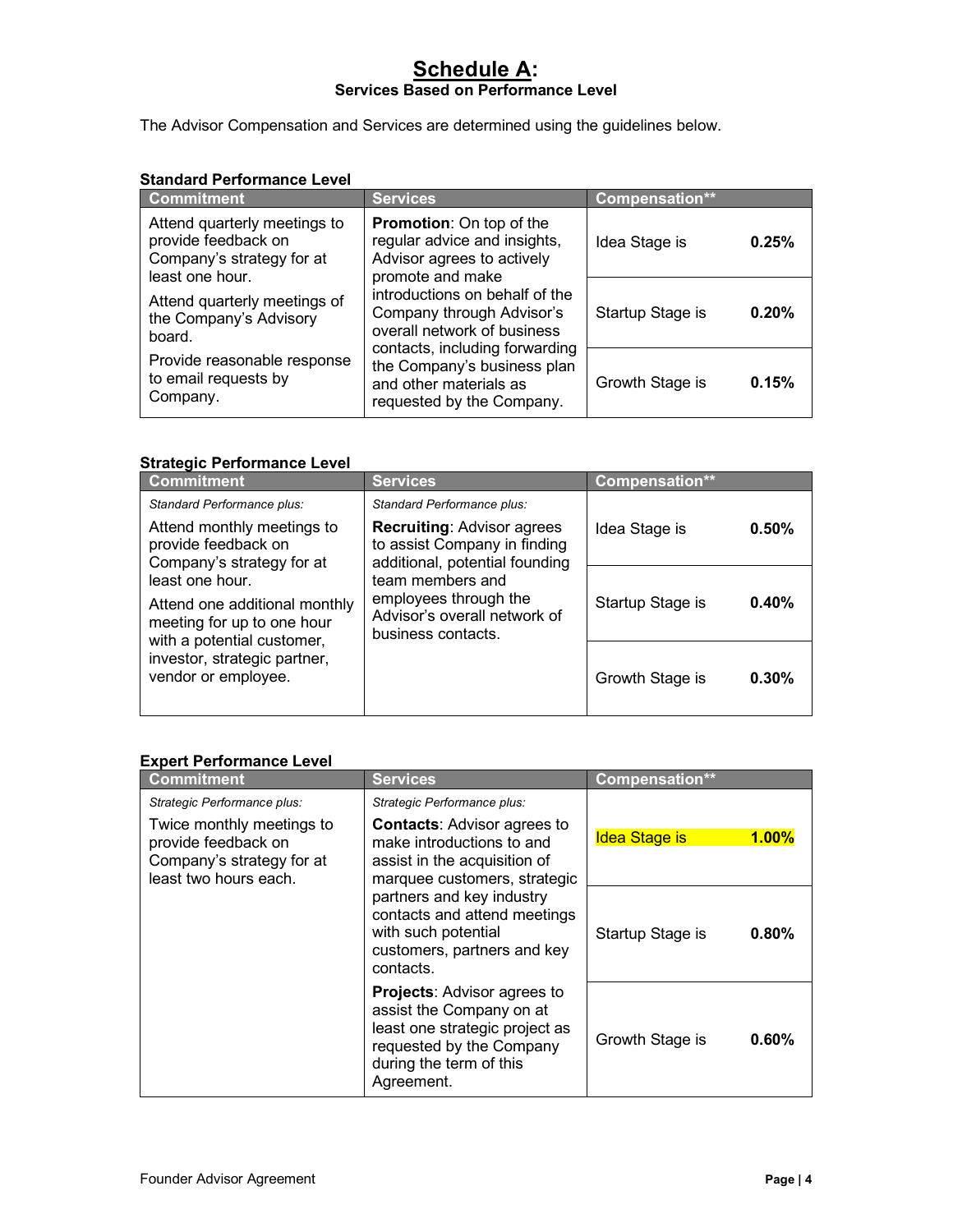# **Schedule A: Services Based on Performance Level**

The Advisor Compensation and Services are determined using the guidelines below.

## **Standard Performance Level**

| <b>Commitment</b>                                                                                   | <b>Services</b>                                                                                                                                                                                                                                                                                                                         | Compensation**            |
|-----------------------------------------------------------------------------------------------------|-----------------------------------------------------------------------------------------------------------------------------------------------------------------------------------------------------------------------------------------------------------------------------------------------------------------------------------------|---------------------------|
| Attend quarterly meetings to<br>provide feedback on<br>Company's strategy for at<br>least one hour. | <b>Promotion:</b> On top of the<br>regular advice and insights,<br>Advisor agrees to actively<br>promote and make<br>introductions on behalf of the<br>Company through Advisor's<br>overall network of business<br>contacts, including forwarding<br>the Company's business plan<br>and other materials as<br>requested by the Company. | Idea Stage is<br>0.25%    |
| Attend quarterly meetings of<br>the Company's Advisory<br>board.                                    |                                                                                                                                                                                                                                                                                                                                         | 0.20%<br>Startup Stage is |
| Provide reasonable response<br>to email requests by<br>Company.                                     |                                                                                                                                                                                                                                                                                                                                         | Growth Stage is<br>0.15%  |

## **Strategic Performance Level**

| <b>Commitment</b>                                                                                                                                                                                                                                                      | <b>Services</b>                                                                                     | Compensation**           |
|------------------------------------------------------------------------------------------------------------------------------------------------------------------------------------------------------------------------------------------------------------------------|-----------------------------------------------------------------------------------------------------|--------------------------|
| Standard Performance plus:                                                                                                                                                                                                                                             | Standard Performance plus:                                                                          |                          |
| Attend monthly meetings to<br>provide feedback on<br>Company's strategy for at                                                                                                                                                                                         | <b>Recruiting: Advisor agrees</b><br>to assist Company in finding<br>additional, potential founding | 0.50%<br>Idea Stage is   |
| least one hour.<br>team members and<br>employees through the<br>Attend one additional monthly<br>Advisor's overall network of<br>meeting for up to one hour<br>business contacts.<br>with a potential customer,<br>investor, strategic partner,<br>vendor or employee. | 0.40%<br>Startup Stage is                                                                           |                          |
|                                                                                                                                                                                                                                                                        |                                                                                                     | Growth Stage is<br>0.30% |

# **Expert Performance Level**

| <b>Commitment</b>                                                                                                                     | <b>Services</b>                                                                                                                                                                                                                                                                                | <b>Compensation**</b>         |
|---------------------------------------------------------------------------------------------------------------------------------------|------------------------------------------------------------------------------------------------------------------------------------------------------------------------------------------------------------------------------------------------------------------------------------------------|-------------------------------|
| Strategic Performance plus:<br>Twice monthly meetings to<br>provide feedback on<br>Company's strategy for at<br>least two hours each. | Strategic Performance plus:<br><b>Contacts: Advisor agrees to</b><br>make introductions to and<br>assist in the acquisition of<br>marquee customers, strategic<br>partners and key industry<br>contacts and attend meetings<br>with such potential<br>customers, partners and key<br>contacts. | 1.00%<br><b>Idea Stage is</b> |
|                                                                                                                                       |                                                                                                                                                                                                                                                                                                | 0.80%<br>Startup Stage is     |
|                                                                                                                                       | <b>Projects: Advisor agrees to</b><br>assist the Company on at<br>least one strategic project as<br>requested by the Company<br>during the term of this<br>Agreement.                                                                                                                          | $0.60\%$<br>Growth Stage is   |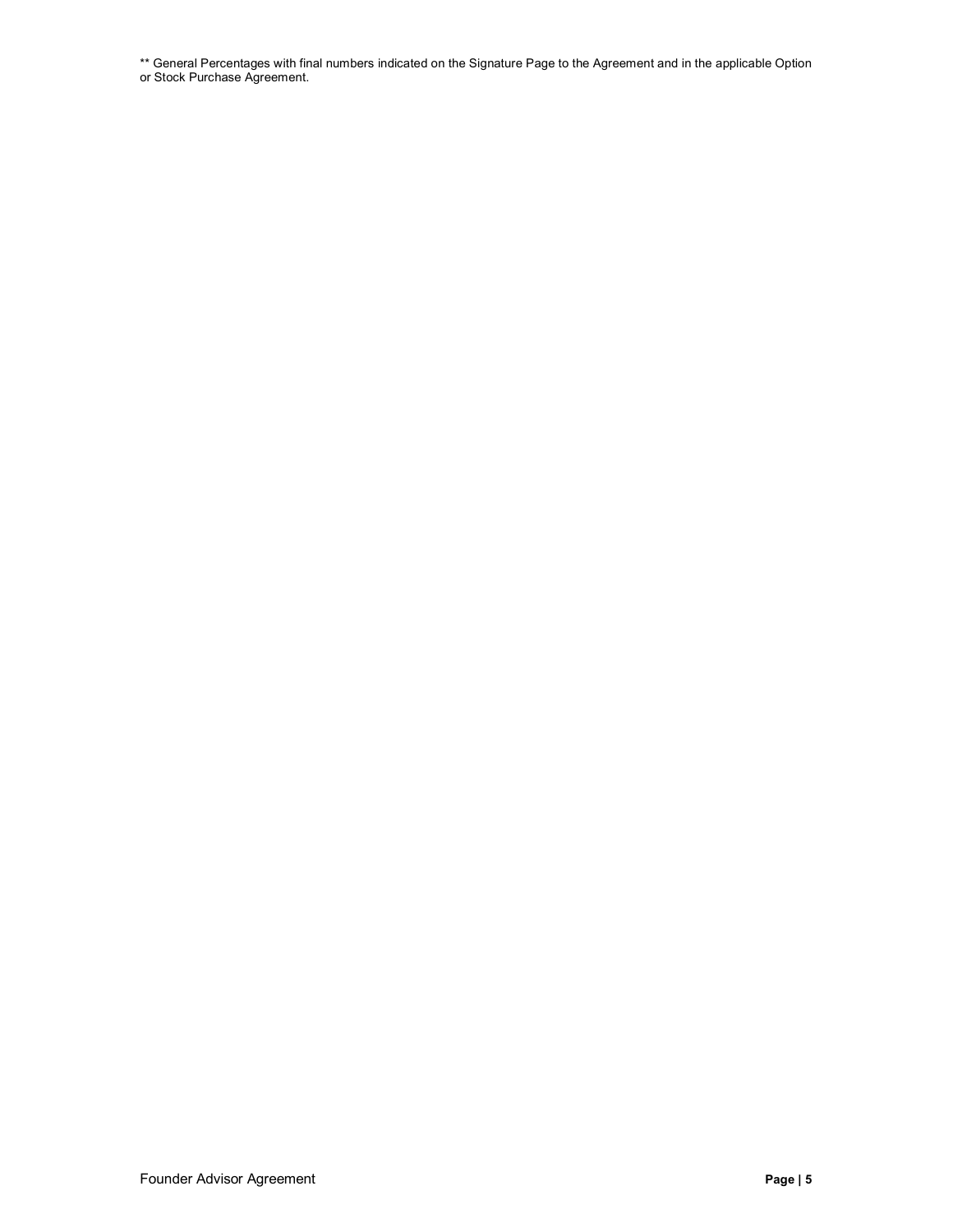\*\* General Percentages with final numbers indicated on the Signature Page to the Agreement and in the applicable Option or Stock Purchase Agreement.